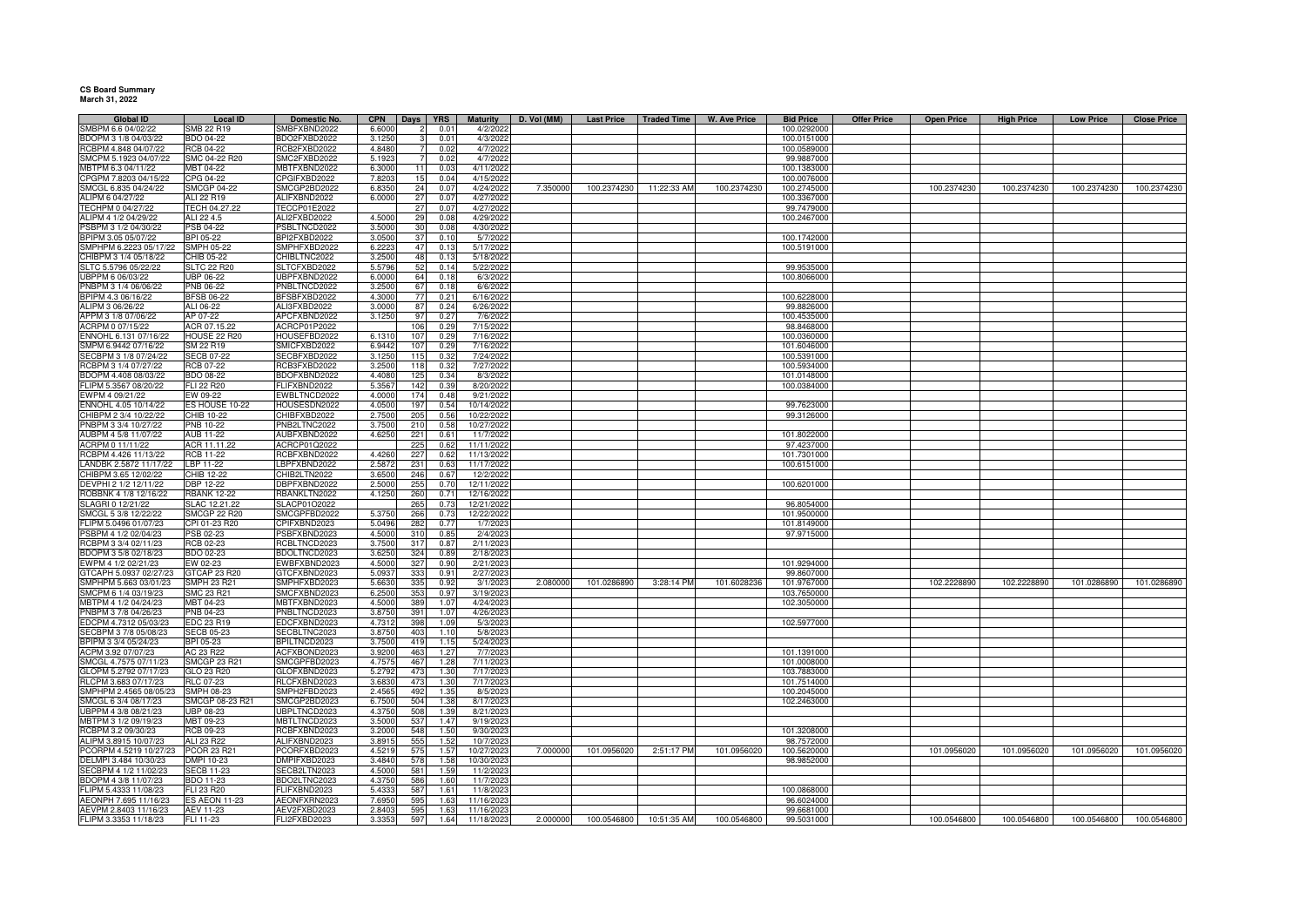**CS Board Summary March 31, 2022**

| <b>Global ID</b>       | Local ID             | Domestic No.                | <b>CPN</b> |     | Days <b>YRS</b> | <b>Maturity</b> | D. Vol (MM) |             | Last Price   Traded Time | W. Ave Price | <b>Bid Price</b> | <b>Offer Price</b> | <b>Open Price</b> | <b>High Price</b> | <b>Low Price</b> | <b>Close Price</b> |
|------------------------|----------------------|-----------------------------|------------|-----|-----------------|-----------------|-------------|-------------|--------------------------|--------------|------------------|--------------------|-------------------|-------------------|------------------|--------------------|
| SMBPM 6.6 04/02/22     | SMB 22 R19           | SMBFXBND2022                | 6.6000     |     | 0.01            | 4/2/2022        |             |             |                          |              | 100.0292000      |                    |                   |                   |                  |                    |
| BDOPM 3 1/8 04/03/22   | BDO 04-22            | BDO2FXBD2022                | 3.1250     |     | 0.01            | 4/3/2022        |             |             |                          |              | 100.0151000      |                    |                   |                   |                  |                    |
| RCBPM 4.848 04/07/22   | <b>RCB 04-22</b>     | RCB2FXBD2022                | 4.8480     |     | 0.02            | 4/7/2022        |             |             |                          |              | 100.0589000      |                    |                   |                   |                  |                    |
| SMCPM 5.1923 04/07/22  | SMC 04-22 R20        | SMC2FXBD2022                | 5.192      |     | 0.02            | 4/7/2022        |             |             |                          |              | 99.9887000       |                    |                   |                   |                  |                    |
| MBTPM 6.3 04/11/22     | MBT 04-22            | MBTFXBND2022                | 6.3000     |     | 0.03            | 4/11/2022       |             |             |                          |              | 100.1383000      |                    |                   |                   |                  |                    |
| CPGPM 7.8203 04/15/22  | CPG 04-22            | PGIFXBD2022                 | 7.820      | 15  | 0.04            | 4/15/2022       |             |             |                          |              | 100.0076000      |                    |                   |                   |                  |                    |
| SMCGL 6.835 04/24/22   | <b>SMCGP 04-22</b>   | SMCGP2BD2022                | 6.8350     | 24  | 0.07            | 4/24/2022       | 7.350000    | 100.2374230 | 11:22:33 AM              | 100.2374230  | 100.2745000      |                    | 100.2374230       | 100.2374230       | 100.2374230      | 100.2374230        |
| ALIPM 6 04/27/22       | ALI 22 R19           | ALIFXBND2022                | 6.0000     | 27  | 0.07            | 4/27/202        |             |             |                          |              | 100.3367000      |                    |                   |                   |                  |                    |
| TECHPM 0 04/27/22      | FECH 04.27.22        | <b>TECCP01E2022</b>         |            | 27  | 0.07            | 4/27/202        |             |             |                          |              | 99.7479000       |                    |                   |                   |                  |                    |
| ALIPM 4 1/2 04/29/22   | ALI 22 4.5           | ALI2FXBD2022                | 4.5000     | 29  | 0.08            | 4/29/202        |             |             |                          |              | 100.2467000      |                    |                   |                   |                  |                    |
| PSBPM 3 1/2 04/30/22   | <b>PSB 04-22</b>     |                             | 3.5000     |     | 0.08            | 4/30/202        |             |             |                          |              |                  |                    |                   |                   |                  |                    |
| BPIPM 3.05 05/07/22    | BPI 05-22            | SBLTNCD2022<br>BPI2FXBD2022 | 3.0500     | 30  | 0.10            | 5/7/202         |             |             |                          |              | 100.1742000      |                    |                   |                   |                  |                    |
|                        |                      |                             |            | 37  |                 |                 |             |             |                          |              |                  |                    |                   |                   |                  |                    |
| SMPHPM 6.2223 05/17/22 | SMPH 05-22           | SMPHFXBD2022                | 6.2223     | 47  | 0.13            | 5/17/2022       |             |             |                          |              | 100.5191000      |                    |                   |                   |                  |                    |
| CHIBPM 3 1/4 05/18/22  | CHIB 05-22           | CHIBLTNC2022                | 3.2500     | 48  | 0.13            | 5/18/2022       |             |             |                          |              |                  |                    |                   |                   |                  |                    |
| SLTC 5.5796 05/22/22   | <b>SLTC 22 R20</b>   | SLTCFXBD2022                | 5.5796     | 52  | 0.14            | 5/22/2022       |             |             |                          |              | 99.9535000       |                    |                   |                   |                  |                    |
| UBPPM 6 06/03/22       | UBP 06-22            | JBPFXBND2022                | 6.0000     | 64  | 0.18            | 6/3/2022        |             |             |                          |              | 100.8066000      |                    |                   |                   |                  |                    |
| PNBPM 3 1/4 06/06/22   | PNB 06-22            | PNBLTNCD2022                | 3.2500     | 67  | 0.18            | 6/6/2022        |             |             |                          |              |                  |                    |                   |                   |                  |                    |
| BPIPM 4.3 06/16/22     | <b>BFSB 06-22</b>    | BFSBFXBD2022                | 4.3000     | 77  | 0.21            | 6/16/2022       |             |             |                          |              | 100.6228000      |                    |                   |                   |                  |                    |
| ALIPM 3 06/26/22       | ALI 06-22            | ALI3FXBD2022                | 3.0000     | 87  | 0.24            | 6/26/2022       |             |             |                          |              | 99.8826000       |                    |                   |                   |                  |                    |
| APPM 3 1/8 07/06/22    | AP 07-22             | APCFXBND2022                | 3.1250     | 97  | 0.27            | 7/6/2022        |             |             |                          |              | 100.4535000      |                    |                   |                   |                  |                    |
| ACRPM 0 07/15/22       | ACR 07.15.22         | ACRCP01P2022                |            | 106 | 0.29            | 7/15/2022       |             |             |                          |              | 98.8468000       |                    |                   |                   |                  |                    |
| ENNOHL 6.131 07/16/22  | HOUSE 22 R20         | HOUSEFBD2022                | 6.1310     | 107 | 0.29            | 7/16/2022       |             |             |                          |              | 100.0360000      |                    |                   |                   |                  |                    |
| SMPM 6.9442 07/16/22   | SM 22 R19            | SMICFXBD2022                | 6.9442     | 107 | 0.29            | 7/16/2022       |             |             |                          |              | 101.6046000      |                    |                   |                   |                  |                    |
| SECBPM 3 1/8 07/24/22  | <b>SECB 07-22</b>    | SECBFXBD2022                | 3.1250     | 115 | 0.3i            | 7/24/202        |             |             |                          |              | 100.5391000      |                    |                   |                   |                  |                    |
| RCBPM 3 1/4 07/27/22   | RCB 07-22            | CB3FXBD2022                 | 3.2500     | 118 | 0.32            | 7/27/2022       |             |             |                          |              | 100.5934000      |                    |                   |                   |                  |                    |
| BDOPM 4.408 08/03/22   | <b>BDO 08-22</b>     | BDOFXBND2022                | 4.4080     | 125 | 0.34            | 8/3/2022        |             |             |                          |              | 101.0148000      |                    |                   |                   |                  |                    |
|                        |                      |                             |            |     |                 |                 |             |             |                          |              |                  |                    |                   |                   |                  |                    |
| FLIPM 5.3567 08/20/22  | FLI 22 R20           | FLIFXBND2022                | 5.3567     | 142 | 0.39            | 8/20/2022       |             |             |                          |              | 100.0384000      |                    |                   |                   |                  |                    |
| EWPM 4 09/21/22        | EW 09-22             | EWBLTNCD2022                | 4.0000     | 174 | 0.48            | 9/21/2022       |             |             |                          |              |                  |                    |                   |                   |                  |                    |
| ENNOHL 4.05 10/14/22   | ES HOUSE 10-22       | HOUSESDN2022                | 4.0500     | 197 | 0.54            | 10/14/2022      |             |             |                          |              | 99.7623000       |                    |                   |                   |                  |                    |
| CHIBPM 2 3/4 10/22/22  | CHIB 10-22           | CHIBFXBD2022                | 2.7500     | 205 | 0.56            | 10/22/2022      |             |             |                          |              | 99.3126000       |                    |                   |                   |                  |                    |
| PNBPM 3 3/4 10/27/22   | PNB 10-22            | NB2LTNC2022                 | 3.7500     | 210 | 0.58            | 10/27/2022      |             |             |                          |              |                  |                    |                   |                   |                  |                    |
| AUBPM 4 5/8 11/07/22   | <b>AUB 11-22</b>     | AUBFXBND2022                | 4.6250     | 221 | 0.61            | 11/7/2022       |             |             |                          |              | 101.8022000      |                    |                   |                   |                  |                    |
| ACRPM 0 11/11/22       | ACR 11.11.22         | ACRCP01Q2022                |            | 225 | 0.62            | 11/11/2022      |             |             |                          |              | 97.4237000       |                    |                   |                   |                  |                    |
| RCBPM 4.426 11/13/22   | <b>RCB 11-22</b>     | RCBFXBND2022                | 4.4260     | 227 | 0.62            | 11/13/2022      |             |             |                          |              | 101.7301000      |                    |                   |                   |                  |                    |
| LANDBK 2.5872 11/17/22 | LBP 11-22            | BPFXBND2022                 | 2.587      | 231 | 0.63            | 11/17/202       |             |             |                          |              | 100.6151000      |                    |                   |                   |                  |                    |
| CHIBPM 3.65 12/02/22   | HIB 12-22            | HIB2LTN2022                 | 3.650      | 246 | 0.67            | 12/2/202        |             |             |                          |              |                  |                    |                   |                   |                  |                    |
| DEVPHI 2 1/2 12/11/22  | <b>DBP 12-22</b>     | BPFXBND2022                 | 2.5000     | 255 | 0.70            | 12/11/202       |             |             |                          |              | 100.6201000      |                    |                   |                   |                  |                    |
| ROBBNK 4 1/8 12/16/22  | <b>RBANK 12-22</b>   | <b>BANKLTN2022</b>          | 4.1250     | 260 | 0.71            | 12/16/2022      |             |             |                          |              |                  |                    |                   |                   |                  |                    |
| SLAGRI 0 12/21/22      | SLAC 12.21.22        | SLACP01O2022                |            | 265 | 0.73            | 12/21/2022      |             |             |                          |              | 96.8054000       |                    |                   |                   |                  |                    |
| SMCGL 5 3/8 12/22/22   | <b>SMCGP 22 R20</b>  | SMCGPFBD2022                | 5.3750     | 266 | 0.73            | 12/22/2022      |             |             |                          |              | 101.9500000      |                    |                   |                   |                  |                    |
| FLIPM 5.0496 01/07/23  |                      |                             |            | 282 |                 |                 |             |             |                          |              |                  |                    |                   |                   |                  |                    |
|                        | CPI 01-23 R20        | CPIFXBND2023                | 5.0496     |     | 0.77            | 1/7/2023        |             |             |                          |              | 101.8149000      |                    |                   |                   |                  |                    |
| PSBPM 4 1/2 02/04/23   | PSB 02-23            | SBFXBND2023                 | 4.500      | 310 | 0.85            | 2/4/202         |             |             |                          |              | 97.9715000       |                    |                   |                   |                  |                    |
| RCBPM 3 3/4 02/11/23   | <b>RCB 02-23</b>     | RCBLTNCD2023                | 3.750      | 317 | 0.87            | 2/11/202        |             |             |                          |              |                  |                    |                   |                   |                  |                    |
| BDOPM 3 5/8 02/18/23   | <b>BDO 02-23</b>     | BDOLTNCD2023                | 3.625      | 324 | 0.89            | 2/18/202        |             |             |                          |              |                  |                    |                   |                   |                  |                    |
| WPM 4 1/2 02/21/23     | EW 02-23             | EWBFXBND2023                | 4.500      | 327 | 0.90            | 2/21/202        |             |             |                          |              | 101.9294000      |                    |                   |                   |                  |                    |
| GTCAPH 5.0937 02/27/23 | <b>STCAP 23 R20</b>  | GTCFXBND2023                | 5.093      | 333 | 0.91            | 2/27/202        |             |             |                          |              | 99.8607000       |                    |                   |                   |                  |                    |
| SMPHPM 5.663 03/01/23  | <b>SMPH 23 R21</b>   | SMPHFXBD2023                | 5.6630     | 335 | 0.92            | 3/1/2023        | 2.080000    | 101.0286890 | 3:28:14 PM               | 101.6028236  | 101.9767000      |                    | 102.2228890       | 102.2228890       | 101.0286890      | 101.0286890        |
| SMCPM 6 1/4 03/19/23   | <b>SMC 23 R21</b>    | SMCFXBND2023                | 6.2500     | 353 | 0.97            | 3/19/2023       |             |             |                          |              | 103.7650000      |                    |                   |                   |                  |                    |
| MBTPM 4 1/2 04/24/23   | MBT 04-23            | MBTFXBND2023                | 4.5000     | 389 | 1.07            | 4/24/202        |             |             |                          |              | 102.3050000      |                    |                   |                   |                  |                    |
| PNBPM 3 7/8 04/26/23   | PNB 04-23            | PNBLTNCD2023                | 3.8750     | 391 | 1.07            | 4/26/202        |             |             |                          |              |                  |                    |                   |                   |                  |                    |
| EDCPM 4.7312 05/03/23  | EDC 23 R19           | EDCFXBND2023                | 4.7312     | 398 | 1.09            | 5/3/2023        |             |             |                          |              | 102.5977000      |                    |                   |                   |                  |                    |
| SECBPM 3 7/8 05/08/23  | <b>SECB 05-23</b>    | SECBLTNC2023                | 3.8750     | 403 | 1.10            | 5/8/2023        |             |             |                          |              |                  |                    |                   |                   |                  |                    |
| BPIPM 3 3/4 05/24/23   | BPI 05-23            | BPILTNCD2023                | 3.7500     | 419 | 1.15            | 5/24/2023       |             |             |                          |              |                  |                    |                   |                   |                  |                    |
| ACPM 3.92 07/07/23     | AC 23 R22            | ACFXBOND2023                | 3.9200     | 463 | 1.27            | 7/7/2023        |             |             |                          |              | 101.1391000      |                    |                   |                   |                  |                    |
| SMCGL 4.7575 07/11/23  | <b>SMCGP 23 R21</b>  | SMCGPFBD2023                | 4.7575     | 467 | 1.28            | 7/11/2023       |             |             |                          |              | 101.0008000      |                    |                   |                   |                  |                    |
| GLOPM 5.2792 07/17/23  | GLO 23 R20           | GLOFXBND2023                | 5.279      | 473 | 1.30            | 7/17/2023       |             |             |                          |              | 103.7883000      |                    |                   |                   |                  |                    |
| RLCPM 3.683 07/17/23   | RLC 07-23            | RLCFXBND2023                | 3.683      | 473 | 1.30            | 7/17/202        |             |             |                          |              | 101.7514000      |                    |                   |                   |                  |                    |
|                        |                      |                             |            |     | 1.35            |                 |             |             |                          |              |                  |                    |                   |                   |                  |                    |
| SMPHPM 2.4565 08/05/23 | <b>SMPH 08-23</b>    | SMPH2FBD2023                | 2.4565     | 492 |                 | 8/5/2023        |             |             |                          |              | 100.2045000      |                    |                   |                   |                  |                    |
| SMCGL 6 3/4 08/17/23   | SMCGP 08-23 R21      | SMCGP2BD2023                | 6.7500     | 504 | 1.38            | 8/17/2023       |             |             |                          |              | 102.2463000      |                    |                   |                   |                  |                    |
| UBPPM 4 3/8 08/21/23   | UBP 08-23            | <b>JBPLTNCD2023</b>         | 4.3750     | 508 | 1.39            | 8/21/2023       |             |             |                          |              |                  |                    |                   |                   |                  |                    |
| MBTPM 3 1/2 09/19/23   | MBT 09-23            | <b>MBTLTNCD2023</b>         | 3.5000     | 537 | 1.47            | 9/19/202        |             |             |                          |              |                  |                    |                   |                   |                  |                    |
| RCBPM 3.2 09/30/23     | RCB 09-23            | <b>ICBFXBND2023</b>         | 3.2000     | 548 | 1.50            | 9/30/202        |             |             |                          |              | 101.3208000      |                    |                   |                   |                  |                    |
| ALIPM 3.8915 10/07/23  | ALI 23 R22           | ALIFXBND2023                | 3.891      | 555 | 1.52            | 10/7/202        |             |             |                          |              | 98.7572000       |                    |                   |                   |                  |                    |
| PCORPM 4.5219 10/27/23 | PCOR 23 R21          | CORFXBD2023                 | 4.5219     | 575 | 1.57            | 10/27/2023      | 7.000000    | 101.0956020 | 2:51:17 PM               | 101.0956020  | 100.5620000      |                    | 101.0956020       | 101.0956020       | 101.0956020      | 101.0956020        |
| DELMPI 3.484 10/30/23  | DMPI 10-23           | DMPIFXBD2023                | 3.4840     | 578 | 1.58            | 10/30/2023      |             |             |                          |              | 98.9852000       |                    |                   |                   |                  |                    |
| SECBPM 4 1/2 11/02/23  | <b>SECB 11-23</b>    | SECB2LTN2023                | 4.5000     | 581 | 1.59            | 11/2/2023       |             |             |                          |              |                  |                    |                   |                   |                  |                    |
| BDOPM 4 3/8 11/07/23   | BDO 11-23            | BDO2LTNC2023                | 4.3750     | 586 | 1.60            | 11/7/2023       |             |             |                          |              |                  |                    |                   |                   |                  |                    |
| FLIPM 5.4333 11/08/23  | FLI 23 R20           | FLIFXBND2023                | 5.433      | 587 | 1.61            | 11/8/202        |             |             |                          |              | 100.0868000      |                    |                   |                   |                  |                    |
| AEONPH 7.695 11/16/23  | <b>ES AEON 11-23</b> | AEONFXRN2023                | 7.695      | 595 | 1.63            | 11/16/202       |             |             |                          |              | 96.6024000       |                    |                   |                   |                  |                    |
| AEVPM 2.8403 11/16/23  | AEV 11-23            | AEV2FXBD2023                | 2.8403     | 595 | 1.63            | 11/16/202       |             |             |                          |              | 99.6681000       |                    |                   |                   |                  |                    |
|                        |                      |                             |            |     |                 |                 |             |             |                          |              |                  |                    |                   |                   |                  |                    |
| FLIPM 3.3353 11/18/23  | FLI 11-23            | FLI2FXBD2023                | 3.3353     | 597 | 1.64            | 11/18/2023      | 2.000000    | 100.0546800 | 10:51:35 AM              | 100.0546800  | 99.5031000       |                    | 100.0546800       | 100.0546800       | 100.0546800      | 100.0546800        |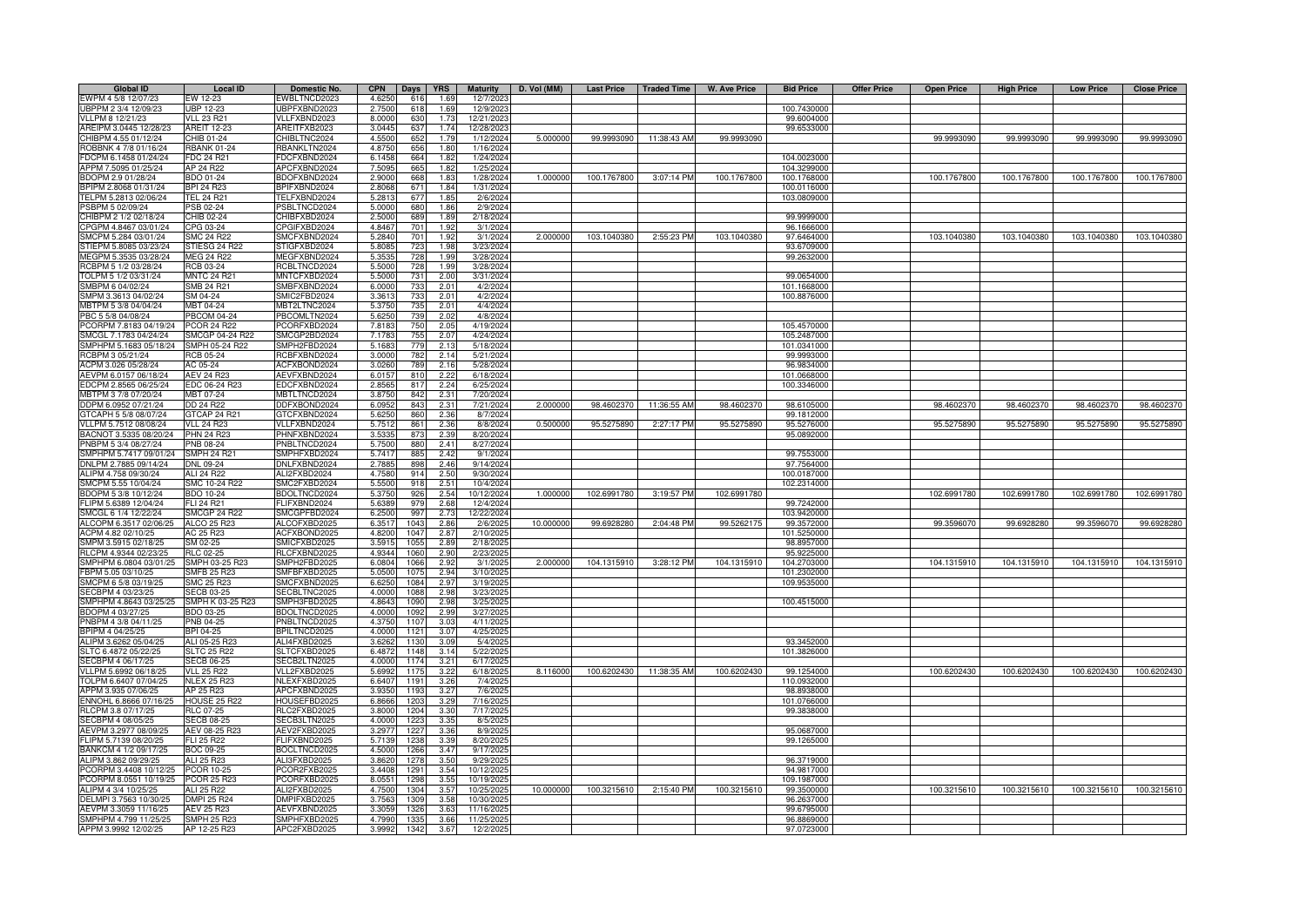| <b>Global ID</b>       | <b>Local ID</b>     | Domestic No.        | <b>CPN</b> | <b>YRS</b><br><b>Days</b> | <b>Maturity</b> | D. Vol (MM) | <b>Last Price</b> | <b>Traded Time</b> | <b>W. Ave Price</b> | <b>Bid Price</b> | <b>Offer Price</b> | <b>Open Price</b> | <b>High Price</b> | <b>Low Price</b> | <b>Close Price</b> |
|------------------------|---------------------|---------------------|------------|---------------------------|-----------------|-------------|-------------------|--------------------|---------------------|------------------|--------------------|-------------------|-------------------|------------------|--------------------|
| EWPM 4 5/8 12/07/23    | EW 12-23            | WBLTNCD2023         | 4.6250     | 616<br>1.69               | 12/7/2023       |             |                   |                    |                     |                  |                    |                   |                   |                  |                    |
| UBPPM 2 3/4 12/09/23   | <b>UBP 12-23</b>    | JBPFXBND2023        | 2.7500     | 618<br>1.69               | 12/9/2023       |             |                   |                    |                     | 100.7430000      |                    |                   |                   |                  |                    |
| VLLPM 8 12/21/23       | <b>VLL 23 R21</b>   | VLLFXBND2023        | 8.0000     | 630<br>1.73               | 12/21/2023      |             |                   |                    |                     | 99.6004000       |                    |                   |                   |                  |                    |
| AREIPM 3.0445 12/28/23 | <b>AREIT 12-23</b>  | AREITFXB2023        | 3.0445     | 637<br>1.74               | 12/28/2023      |             |                   |                    |                     | 99.6533000       |                    |                   |                   |                  |                    |
| CHIBPM 4.55 01/12/24   | CHIB 01-24          | CHIBLTNC2024        | 4.5500     | 652<br>1.79               | 1/12/2024       | 5.000000    | 99.9993090        | 11:38:43 AM        | 99.9993090          |                  |                    | 99.9993090        | 99.9993090        | 99.9993090       | 99.9993090         |
| ROBBNK 4 7/8 01/16/24  | <b>BANK 01-24</b>   | <b>BANKLTN2024</b>  | 4.8750     | 656<br>1.80               | 1/16/2024       |             |                   |                    |                     |                  |                    |                   |                   |                  |                    |
| FDCPM 6.1458 01/24/24  | <b>FDC 24 R21</b>   | DCFXBND2024         | 6.1458     | 664<br>1.82               | 1/24/2024       |             |                   |                    |                     | 104.0023000      |                    |                   |                   |                  |                    |
| APPM 7.5095 01/25/24   | AP 24 R22           | APCFXBND2024        | 7.5095     | 665<br>1.82               | 1/25/2024       |             |                   |                    |                     | 104.3299000      |                    |                   |                   |                  |                    |
| BDOPM 2.9 01/28/24     | BDO 01-24           | BDOFXBND2024        | 2.9000     | 668<br>1.83               | 1/28/2024       | 1.00000     | 100.1767800       | 3:07:14 PM         | 100.1767800         | 100.1768000      |                    | 100.1767800       | 100.1767800       | 100.1767800      | 100.1767800        |
| BPIPM 2.8068 01/31/24  | BPI 24 R23          | BPIFXBND2024        | 2.8068     | 671<br>1.84               | 1/31/2024       |             |                   |                    |                     | 100.0116000      |                    |                   |                   |                  |                    |
| TELPM 5.2813 02/06/24  | <b>TEL 24 R21</b>   | TELFXBND2024        | 5.2813     | 677<br>1.8!               | 2/6/2024        |             |                   |                    |                     | 103.0809000      |                    |                   |                   |                  |                    |
| PSBPM 5 02/09/24       | <b>SB 02-24</b>     | SBLTNCD2024         | 5.0000     | 680<br>1.86               | 2/9/2024        |             |                   |                    |                     |                  |                    |                   |                   |                  |                    |
| CHIBPM 2 1/2 02/18/24  | HIB 02-24           | HIBFXBD2024         | 2.5000     | 689<br>1.8                | 2/18/2024       |             |                   |                    |                     | 99.9999000       |                    |                   |                   |                  |                    |
| CPGPM 4.8467 03/01/24  | CPG 03-24           | PGIFXBD2024         | 4.8467     | 701<br>1.92               | 3/1/2024        |             |                   |                    |                     | 96.1666000       |                    |                   |                   |                  |                    |
| SMCPM 5.284 03/01/24   | <b>SMC 24 R22</b>   | SMCFXBND2024        | 5.2840     | 701<br>1.92               | 3/1/2024        | 2.000000    | 103.1040380       | 2:55:23 PM         | 103.1040380         | 97.6464000       |                    | 103.1040380       | 103.1040380       | 103.1040380      | 103.1040380        |
| STIEPM 5.8085 03/23/24 | STIESG 24 R22       | STIGFXBD2024        | 5.8085     | 723<br>1.98               | 3/23/2024       |             |                   |                    |                     | 93.6709000       |                    |                   |                   |                  |                    |
| MEGPM 5.3535 03/28/24  | MEG 24 R22          | <b>MEGFXBND2024</b> | 5.353      | 728<br>1.99               | 3/28/2024       |             |                   |                    |                     | 99.2632000       |                    |                   |                   |                  |                    |
| RCBPM 5 1/2 03/28/24   | RCB 03-24           | RCBLTNCD2024        | 5.5000     | 728<br>1.99               | 3/28/2024       |             |                   |                    |                     |                  |                    |                   |                   |                  |                    |
| TOLPM 5 1/2 03/31/24   | <b>MNTC 24 R21</b>  | <b>MNTCFXBD2024</b> | 5.5000     | 731<br>2.00               | 3/31/2024       |             |                   |                    |                     | 99.0654000       |                    |                   |                   |                  |                    |
| SMBPM 6 04/02/24       | SMB 24 R21          | SMBFXBND2024        | 6.000      | 2.01                      | 4/2/2024        |             |                   |                    |                     | 101.1668000      |                    |                   |                   |                  |                    |
| SMPM 3.3613 04/02/24   | SM 04-24            | SMIC2FBD2024        | 3.361      | 73<br>2.01                | 4/2/2024        |             |                   |                    |                     | 100.8876000      |                    |                   |                   |                  |                    |
| MBTPM 5 3/8 04/04/24   | MBT 04-24           | <b>JBT2LTNC2024</b> | 5.375      | 735<br>2.01               | 4/4/2024        |             |                   |                    |                     |                  |                    |                   |                   |                  |                    |
| PBC 5 5/8 04/08/24     | <b>PBCOM 04-24</b>  | BCOMLTN2024         | 5.625      | 2.02<br>73                | 4/8/2024        |             |                   |                    |                     |                  |                    |                   |                   |                  |                    |
| PCORPM 7.8183 04/19/24 | <b>PCOR 24 R22</b>  | CORFXBD2024         | 7.8183     | 2.05<br>75                | 4/19/2024       |             |                   |                    |                     | 105.4570000      |                    |                   |                   |                  |                    |
| SMCGL 7.1783 04/24/24  | SMCGP 04-24 R22     | SMCGP2BD2024        | 7.178      | 2.07<br>75                | 4/24/2024       |             |                   |                    |                     | 105.2487000      |                    |                   |                   |                  |                    |
| SMPHPM 5.1683 05/18/24 | SMPH 05-24 R22      | SMPH2FBD2024        | 5.1683     | 2.13<br>77                | 5/18/2024       |             |                   |                    |                     | 101.0341000      |                    |                   |                   |                  |                    |
| RCBPM 3 05/21/24       | RCB 05-24           | <b>CBFXBND2024</b>  | 3.0000     | 2.14<br>782               | 5/21/2024       |             |                   |                    |                     | 99.9993000       |                    |                   |                   |                  |                    |
| ACPM 3.026 05/28/24    | AC 05-24            | ACFXBOND2024        | 3.0260     | 2.16<br>789               | 5/28/2024       |             |                   |                    |                     | 96.9834000       |                    |                   |                   |                  |                    |
| AEVPM 6.0157 06/18/24  | <b>AEV 24 R23</b>   | AEVFXBND2024        | 6.0157     | 810<br>2.22               | 6/18/2024       |             |                   |                    |                     | 101.0668000      |                    |                   |                   |                  |                    |
| EDCPM 2.8565 06/25/24  | EDC 06-24 R23       | EDCFXBND2024        | 2.8565     | 817<br>2.24               | 6/25/2024       |             |                   |                    |                     | 100.3346000      |                    |                   |                   |                  |                    |
| MBTPM 3 7/8 07/20/24   | <b>MBT 07-24</b>    | <b>MBTLTNCD2024</b> | 3.8750     | 2.31<br>842               | 7/20/2024       |             |                   |                    |                     |                  |                    |                   |                   |                  |                    |
| DDPM 6.0952 07/21/24   | DD 24 R22           | DFXBOND2024         | 6.095      | 843<br>2.31               | 7/21/2024       | 2.000000    | 98.4602370        | 11:36:55 AM        | 98.4602370          | 98.6105000       |                    | 98.4602370        | 98.4602370        | 98.4602370       | 98.4602370         |
| GTCAPH 5 5/8 08/07/24  | GTCAP 24 R21        | GTCFXBND2024        | 5.625      | 860<br>2.36               | 8/7/2024        |             |                   |                    |                     | 99.1812000       |                    |                   |                   |                  |                    |
| VLLPM 5.7512 08/08/24  | <b>VLL 24 R23</b>   | /LLFXBND2024        | 5.7512     | 861<br>2.36               | 8/8/2024        | 0.500000    | 95.5275890        | 2:27:17 PM         | 95.5275890          | 95.5276000       |                    | 95.5275890        | 95.5275890        | 95.5275890       | 95.5275890         |
| BACNOT 3.5335 08/20/24 | <b>PHN 24 R23</b>   | <b>PHNFXBND2024</b> | 3.533      | 873<br>2.39               | 8/20/2024       |             |                   |                    |                     | 95.0892000       |                    |                   |                   |                  |                    |
| PNBPM 5 3/4 08/27/24   | NB 08-24            | NBLTNCD2024         | 5.750      | 880<br>2.41               | 8/27/2024       |             |                   |                    |                     |                  |                    |                   |                   |                  |                    |
| SMPHPM 5.7417 09/01/24 | <b>SMPH 24 R21</b>  | SMPHFXBD2024        | 5.741      | 885<br>2.42               | 9/1/2024        |             |                   |                    |                     | 99.7553000       |                    |                   |                   |                  |                    |
| DNLPM 2.7885 09/14/24  | <b>NL 09-24</b>     | <b>NLFXBND2024</b>  | 2.788      | 898<br>2.46               | 9/14/2024       |             |                   |                    |                     | 97.7564000       |                    |                   |                   |                  |                    |
| ALIPM 4.758 09/30/24   | LI 24 R22           | LI2FXBD2024         | 4.758      | 91<br>2.5                 | 9/30/202        |             |                   |                    |                     | 100.0187000      |                    |                   |                   |                  |                    |
| SMCPM 5.55 10/04/24    | SMC 10-24 R22       | SMC2FXBD2024        | 5.550      | 918<br>$2.5^{\circ}$      | 10/4/2024       |             |                   |                    |                     | 102.2314000      |                    |                   |                   |                  |                    |
| BDOPM 5 3/8 10/12/24   | BDO 10-24           | DOLTNCD2024         | 5.375      | 926<br>2.54               | 10/12/2024      | 1.000000    | 102.6991780       | 3:19:57 PM         | 102.6991780         |                  |                    | 102.6991780       | 102.6991780       | 102.6991780      | 102.6991780        |
| FLIPM 5.6389 12/04/24  | FLI 24 R21          | FLIFXBND2024        | 5.638      | 2.68<br>979               | 12/4/2024       |             |                   |                    |                     | 99.7242000       |                    |                   |                   |                  |                    |
| SMCGL 6 1/4 12/22/24   | <b>SMCGP 24 R22</b> | SMCGPFBD2024        | 6.2500     | 997<br>2.73               | 12/22/2024      |             |                   |                    |                     | 103.9420000      |                    |                   |                   |                  |                    |
| ALCOPM 6.3517 02/06/25 | ALCO 25 R23         | ALCOFXBD2025        | 6.351      | 1043<br>2.86              | 2/6/2025        | 10.000000   | 99.6928280        | 2:04:48 PM         | 99.5262175          | 99.3572000       |                    | 99.3596070        | 99.6928280        | 99.3596070       | 99.6928280         |
| ACPM 4.82 02/10/25     | AC 25 R23           | ACFXBOND2025        | 4.820      | 104<br>2.87               | 2/10/2025       |             |                   |                    |                     | 101.5250000      |                    |                   |                   |                  |                    |
| SMPM 3.5915 02/18/25   | SM 02-25            | SMICFXBD2025        | 3.591      | 2.89<br>105               | 2/18/2025       |             |                   |                    |                     | 98.8957000       |                    |                   |                   |                  |                    |
| RLCPM 4.9344 02/23/25  | <b>RLC 02-25</b>    | <b>RLCEXBND2025</b> | 4.934      | 106<br>2.90               | 2/23/202        |             |                   |                    |                     | 95.9225000       |                    |                   |                   |                  |                    |
| SMPHPM 6.0804 03/01/25 | SMPH 03-25 R23      | SMPH2FBD2025        | 6.080      | 1066<br>29                | 3/1/2025        | 2.00000     | 104.1315910       | 3:28:12 PM         | 104.1315910         | 104.2703000      |                    | 104.1315910       | 104.1315910       | 104.1315910      | 104.1315910        |
| FBPM 5.05 03/10/25     | <b>SMFB 25 R23</b>  | SMFBFXBD2025        | 5.050      | 107<br>2.9 <sub>0</sub>   | 3/10/2025       |             |                   |                    |                     | 101.230200       |                    |                   |                   |                  |                    |
| SMCPM 6 5/8 03/19/25   | SMC 25 R23          | SMCFXBND2025        | 6.625      | 1084<br>29                | 3/19/2025       |             |                   |                    |                     | 109.9535000      |                    |                   |                   |                  |                    |
| SECBPM 4 03/23/25      | <b>SECB 03-25</b>   | SECBLTNC2025        | 4.000      | 1088<br>291               | 3/23/2025       |             |                   |                    |                     |                  |                    |                   |                   |                  |                    |
| SMPHPM 4.8643 03/25/25 | SMPH K 03-25 R23    | SMPH3FBD2025        | 4.8643     | 109<br>2.98               | 3/25/2025       |             |                   |                    |                     | 100.4515000      |                    |                   |                   |                  |                    |
| BDOPM 4 03/27/25       | BDO 03-25           | BDOLTNCD2025        | 4.0000     | 1092<br>2.99              | 3/27/2025       |             |                   |                    |                     |                  |                    |                   |                   |                  |                    |
| PNBPM 4 3/8 04/11/25   | PNB 04-25           | PNBLTNCD2025        | 4.3750     | 3.03<br>1107              | 4/11/2025       |             |                   |                    |                     |                  |                    |                   |                   |                  |                    |
| BPIPM 4 04/25/25       | <b>BPI 04-25</b>    | BPILTNCD2025        | 4.0000     | 3.07<br>1121              | 4/25/2025       |             |                   |                    |                     |                  |                    |                   |                   |                  |                    |
| ALIPM 3.6262 05/04/25  | ALI 05-25 R23       | ALI4FXBD2025        | 3.6262     | 1130<br>3.09              | 5/4/2025        |             |                   |                    |                     | 93.3452000       |                    |                   |                   |                  |                    |
| SLTC 6.4872 05/22/25   | <b>SLTC 25 R22</b>  | SLTCFXBD2025        | 6.4872     | 1148<br>3.14              | 5/22/2025       |             |                   |                    |                     | 101.3826000      |                    |                   |                   |                  |                    |
| SECBPM 4 06/17/25      | SECB 06-25          | SECB2LTN2025        | 4.0000     | 1174<br>3.21              | 6/17/2025       |             |                   |                    |                     |                  |                    |                   |                   |                  |                    |
| VLLPM 5.6992 06/18/25  | <b>VLL 25 R22</b>   | VLL2FXBD2025        | 5.6992     | 3.22<br>1175              | 6/18/2025       | 8.116000    | 100.6202430       | 11:38:35 AM        | 100.6202430         | 99.1254000       |                    | 100.6202430       | 100.6202430       | 100.6202430      | 100.6202430        |
| TOLPM 6.6407 07/04/25  | <b>NLEX 25 R23</b>  | <b>ILEXFXBD2025</b> | 6.6407     | 3.26<br>1191              | 7/4/2025        |             |                   |                    |                     | 110.0932000      |                    |                   |                   |                  |                    |
| APPM 3.935 07/06/25    | AP 25 R23           | APCFXBND2025        | 3.9350     | 1193<br>3.27              | 7/6/2025        |             |                   |                    |                     | 98.8938000       |                    |                   |                   |                  |                    |
| ENNOHL 6.8666 07/16/25 | HOUSE 25 R22        | HOUSEFBD2025        | 6.8666     | 1203<br>3.29              | 7/16/202        |             |                   |                    |                     | 101.0766000      |                    |                   |                   |                  |                    |
| RLCPM 3.8 07/17/25     | RLC 07-25           | RLC2FXBD2025        | 3.8000     | 1204<br>3.3 <sub>0</sub>  | 7/17/2025       |             |                   |                    |                     | 99.3838000       |                    |                   |                   |                  |                    |
| SECBPM 4 08/05/25      | <b>SECB 08-25</b>   | SECB3LTN2025        | 4.0000     | 1223<br>3.35              | 8/5/202         |             |                   |                    |                     |                  |                    |                   |                   |                  |                    |
| AEVPM 3.2977 08/09/25  | AEV 08-25 R23       | AEV2FXBD2025        | 3.297      | 1227<br>3.3               | 8/9/202         |             |                   |                    |                     | 95.0687000       |                    |                   |                   |                  |                    |
| FLIPM 5.7139 08/20/25  | FLI 25 R22          | <b>LIFXBND2025</b>  | 5.713      | 123<br>3.3 <sup>°</sup>   | 8/20/202        |             |                   |                    |                     | 99.1265000       |                    |                   |                   |                  |                    |
| BANKCM 4 1/2 09/17/25  | BOC 09-25           | 3OCLTNCD2025        | 4.5000     | 1266<br>3.47              | 9/17/2025       |             |                   |                    |                     |                  |                    |                   |                   |                  |                    |
| ALIPM 3.862 09/29/25   | ALI 25 R23          | ALI3FXBD2025        | 3.862      | 3.50<br>1278              | 9/29/2025       |             |                   |                    |                     | 96.3719000       |                    |                   |                   |                  |                    |
| PCORPM 3.4408 10/12/25 | <b>PCOR 10-25</b>   | PCOR2FXB2025        | 3.4408     | 3.54<br>1291              | 10/12/2025      |             |                   |                    |                     | 94.9817000       |                    |                   |                   |                  |                    |
| PCORPM 8.0551 10/19/25 | <b>PCOR 25 R23</b>  | PCORFXBD2025        | 8.0551     | 1298<br>3.55              | 10/19/2025      |             |                   |                    |                     | 109.1987000      |                    |                   |                   |                  |                    |
| ALIPM 4 3/4 10/25/25   | ALI 25 R22          | ALI2FXBD2025        | 4.7500     | 3.57<br>1304              | 10/25/2025      | 10.000000   | 100.3215610       | 2:15:40 PM         | 100.3215610         | 99.3500000       |                    | 100.3215610       | 100.3215610       | 100.3215610      | 100.3215610        |
| DELMPI 3.7563 10/30/25 | <b>DMPI 25 R24</b>  | DMPIFXBD2025        | 3.7563     | 3.58<br>1309              | 10/30/2025      |             |                   |                    |                     | 96.2637000       |                    |                   |                   |                  |                    |
| AEVPM 3.3059 11/16/25  | <b>AEV 25 R23</b>   | AEVFXBND2025        | 3.305      | 3.63<br>132               | 11/16/202       |             |                   |                    |                     | 99.6795000       |                    |                   |                   |                  |                    |
| SMPHPM 4.799 11/25/25  | <b>SMPH 25 R23</b>  | SMPHFXBD2025        | 4.7990     | 3.66<br>133               | 11/25/202       |             |                   |                    |                     | 96.8869000       |                    |                   |                   |                  |                    |
| APPM 3.9992 12/02/25   | AP 12-25 R23        | APC2FXBD2025        | 3.9992     | 1342<br>3.67              | 12/2/2025       |             |                   |                    |                     | 97.0723000       |                    |                   |                   |                  |                    |
|                        |                     |                     |            |                           |                 |             |                   |                    |                     |                  |                    |                   |                   |                  |                    |